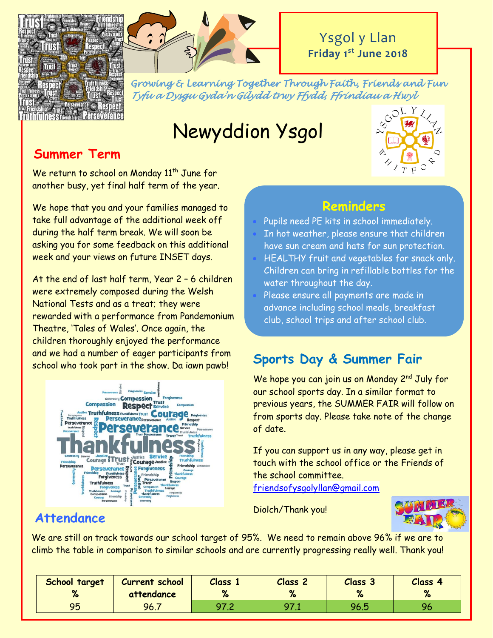



*Growing & Learning Together Through Faith, Friends and Fun Tyfu a Dysgu Gyda'n Gilydd trwy Ffydd, Ffrindiau a Hwyl* 

# Newyddion Ysgol



# **Summer Term**

We return to school on Monday 11<sup>th</sup> June for another busy, yet final half term of the year.

We hope that you and your families managed to take full advantage of the additional week off during the half term break. We will soon be asking you for some feedback on this additional week and your views on future INSET days.

At the end of last half term, Year 2 – 6 children were extremely composed during the Welsh National Tests and as a treat; they were rewarded with a performance from Pandemonium Theatre, 'Tales of Wales'. Once again, the children thoroughly enjoyed the performance and we had a number of eager participants from school who took part in the show. Da iawn pawb!



# **Reminders**

- Pupils need PE kits in school immediately.
- In hot weather, please ensure that children have sun cream and hats for sun protection.
- HEALTHY fruit and vegetables for snack only. Children can bring in refillable bottles for the water throughout the day.
- Please ensure all payments are made in advance including school meals, breakfast club, school trips and after school club.

# **Sports Day & Summer Fair**

We hope you can join us on Monday 2<sup>nd</sup> July for our school sports day. In a similar format to previous years, the SUMMER FAIR will follow on from sports day. Please take note of the change of date.

If you can support us in any way, please get in touch with the school office or the Friends of the school committee.

[friendsofysgolyllan@gmail.com](mailto:friendsofysgolyllan@gmail.com)

Diolch/Thank you!



# **Attendance**

We are still on track towards our school target of 95%. We need to remain above 96% if we are to climb the table in comparison to similar schools and are currently progressing really well. Thank you!

| School target<br>$\mathbf{a}$ | <b>Current school</b><br>attendance | Class 1 | <b>Class</b> | Class 3 | Class 4<br>$\mathbf{a}$ |
|-------------------------------|-------------------------------------|---------|--------------|---------|-------------------------|
| 95                            | 96.7                                |         |              | 96.5    | 96                      |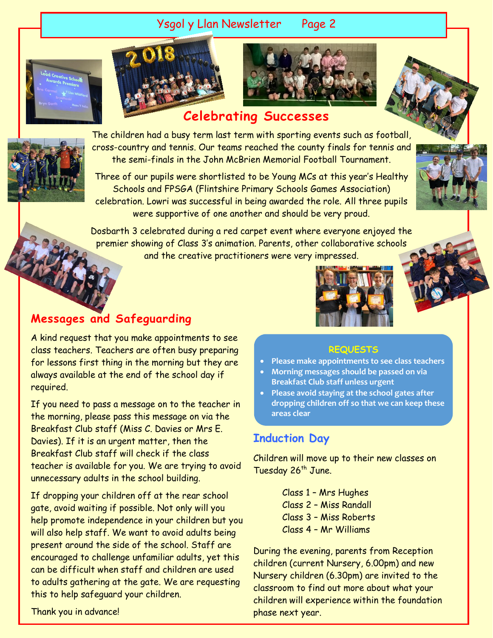## Ysgol y Llan Newsletter Page 2







# **Celebrating Successes**



The children had a busy term last term with sporting events such as football, cross-country and tennis. Our teams reached the county finals for tennis and the semi-finals in the John McBrien Memorial Football Tournament.

Three of our pupils were shortlisted to be Young MCs at this year's Healthy Schools and FPSGA (Flintshire Primary Schools Games Association) celebration. Lowri was successful in being awarded the role. All three pupils were supportive of one another and should be very proud.



Dosbarth 3 celebrated during a red carpet event where everyone enjoyed the premier showing of Class 3's animation. Parents, other collaborative schools and the creative practitioners were very impressed.

# **Messages and Safeguarding**

A kind request that you make appointments to see class teachers. Teachers are often busy preparing for lessons first thing in the morning but they are always available at the end of the school day if required.

If you need to pass a message on to the teacher in the morning, please pass this message on via the Breakfast Club staff (Miss C. Davies or Mrs E. Davies). If it is an urgent matter, then the Breakfast Club staff will check if the class teacher is available for you. We are trying to avoid unnecessary adults in the school building.

If dropping your children off at the rear school gate, avoid waiting if possible. Not only will you help promote independence in your children but you will also help staff. We want to avoid adults being present around the side of the school. Staff are encouraged to challenge unfamiliar adults, yet this can be difficult when staff and children are used to adults gathering at the gate. We are requesting this to help safeguard your children.



#### **REQUESTS**

- **Please make appointments to see class teachers**
- **Morning messages should be passed on via Breakfast Club staff unless urgent**
- **Please avoid staying at the school gates after dropping children off so that we can keep these areas clear**

## **Induction Day**

Children will move up to their new classes on Tuesday 26<sup>th</sup> June.

> Class 1 – Mrs Hughes Class 2 – Miss Randall Class 3 – Miss Roberts Class 4 – Mr Williams

During the evening, parents from Reception children (current Nursery, 6.00pm) and new Nursery children (6.30pm) are invited to the classroom to find out more about what your children will experience within the foundation phase next year.

Thank you in advance!